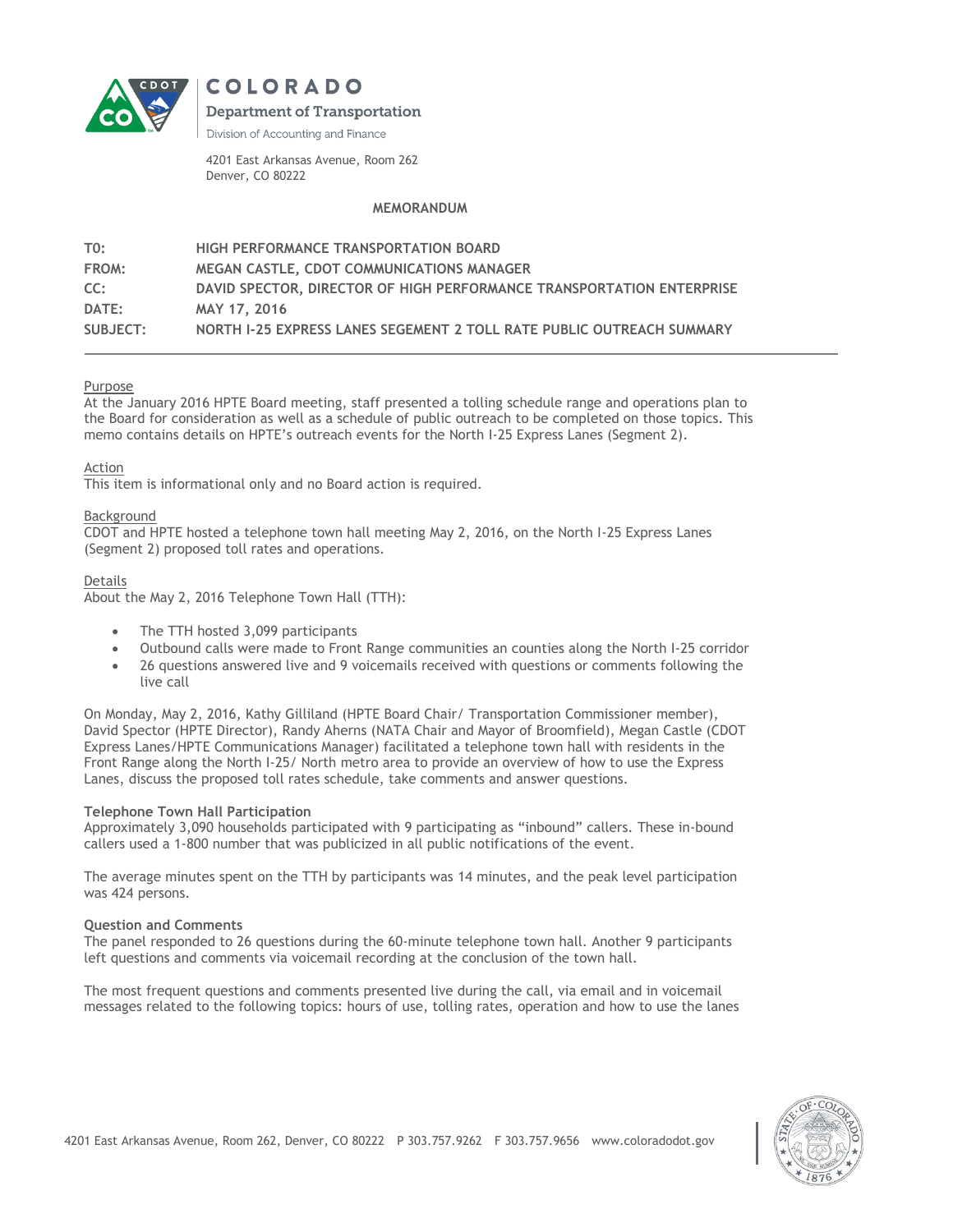



**Department of Transportation** 

Division of Accounting and Finance

4201 East Arkansas Avenue, Room 262 Denver, CO 80222

# **MEMORANDUM**

| TO:      | <b>HIGH PERFORMANCE TRANSPORTATION BOARD</b>                          |
|----------|-----------------------------------------------------------------------|
| FROM:    | MEGAN CASTLE, CDOT COMMUNICATIONS MANAGER                             |
| CC:      | DAVID SPECTOR. DIRECTOR OF HIGH PERFORMANCE TRANSPORTATION ENTERPRISE |
| DATE:    | MAY 17, 2016                                                          |
| SUBJECT: | NORTH I-25 EXPRESS LANES SEGEMENT 2 TOLL RATE PUBLIC OUTREACH SUMMARY |

## Purpose

At the January 2016 HPTE Board meeting, staff presented a tolling schedule range and operations plan to the Board for consideration as well as a schedule of public outreach to be completed on those topics. This memo contains details on HPTE's outreach events for the North I-25 Express Lanes (Segment 2).

Action

This item is informational only and no Board action is required.

## Background

CDOT and HPTE hosted a telephone town hall meeting May 2, 2016, on the North I-25 Express Lanes (Segment 2) proposed toll rates and operations.

## Details

About the May 2, 2016 Telephone Town Hall (TTH):

- The TTH hosted 3,099 participants
- Outbound calls were made to Front Range communities an counties along the North I-25 corridor
- 26 questions answered live and 9 voicemails received with questions or comments following the live call

On Monday, May 2, 2016, Kathy Gilliland (HPTE Board Chair/ Transportation Commissioner member), David Spector (HPTE Director), Randy Aherns (NATA Chair and Mayor of Broomfield), Megan Castle (CDOT Express Lanes/HPTE Communications Manager) facilitated a telephone town hall with residents in the Front Range along the North I-25/ North metro area to provide an overview of how to use the Express Lanes, discuss the proposed toll rates schedule, take comments and answer questions.

## **Telephone Town Hall Participation**

Approximately 3,090 households participated with 9 participating as "inbound" callers. These in-bound callers used a 1-800 number that was publicized in all public notifications of the event.

The average minutes spent on the TTH by participants was 14 minutes, and the peak level participation was 424 persons.

#### **Question and Comments**

The panel responded to 26 questions during the 60-minute telephone town hall. Another 9 participants left questions and comments via voicemail recording at the conclusion of the town hall.

The most frequent questions and comments presented live during the call, via email and in voicemail messages related to the following topics: hours of use, tolling rates, operation and how to use the lanes